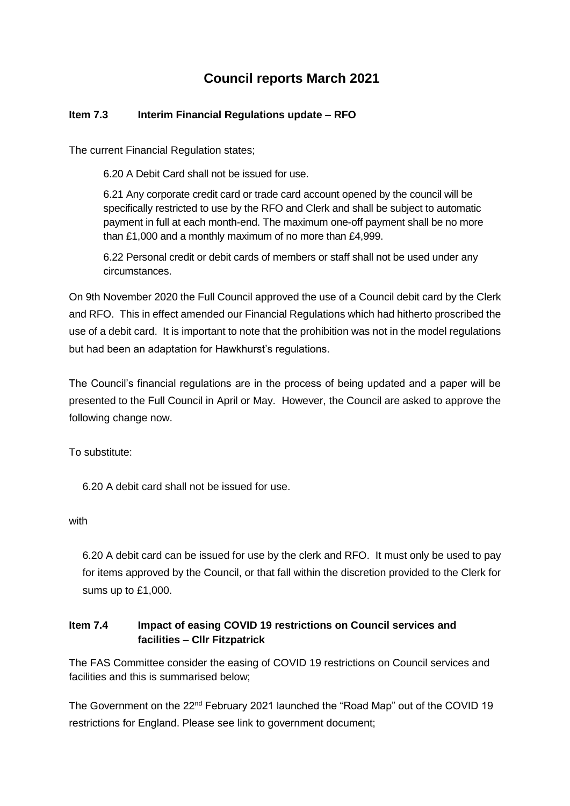# **Council reports March 2021**

## **Item 7.3 Interim Financial Regulations update – RFO**

The current Financial Regulation states;

6.20 A Debit Card shall not be issued for use.

6.21 Any corporate credit card or trade card account opened by the council will be specifically restricted to use by the RFO and Clerk and shall be subject to automatic payment in full at each month-end. The maximum one-off payment shall be no more than £1,000 and a monthly maximum of no more than £4,999.

6.22 Personal credit or debit cards of members or staff shall not be used under any circumstances.

On 9th November 2020 the Full Council approved the use of a Council debit card by the Clerk and RFO. This in effect amended our Financial Regulations which had hitherto proscribed the use of a debit card. It is important to note that the prohibition was not in the model regulations but had been an adaptation for Hawkhurst's regulations.

The Council's financial regulations are in the process of being updated and a paper will be presented to the Full Council in April or May. However, the Council are asked to approve the following change now.

To substitute:

6.20 A debit card shall not be issued for use.

with

6.20 A debit card can be issued for use by the clerk and RFO. It must only be used to pay for items approved by the Council, or that fall within the discretion provided to the Clerk for sums up to £1,000.

## **Item 7.4 Impact of easing COVID 19 restrictions on Council services and facilities – Cllr Fitzpatrick**

The FAS Committee consider the easing of COVID 19 restrictions on Council services and facilities and this is summarised below;

The Government on the 22<sup>nd</sup> February 2021 launched the "Road Map" out of the COVID 19 restrictions for England. Please see link to government document;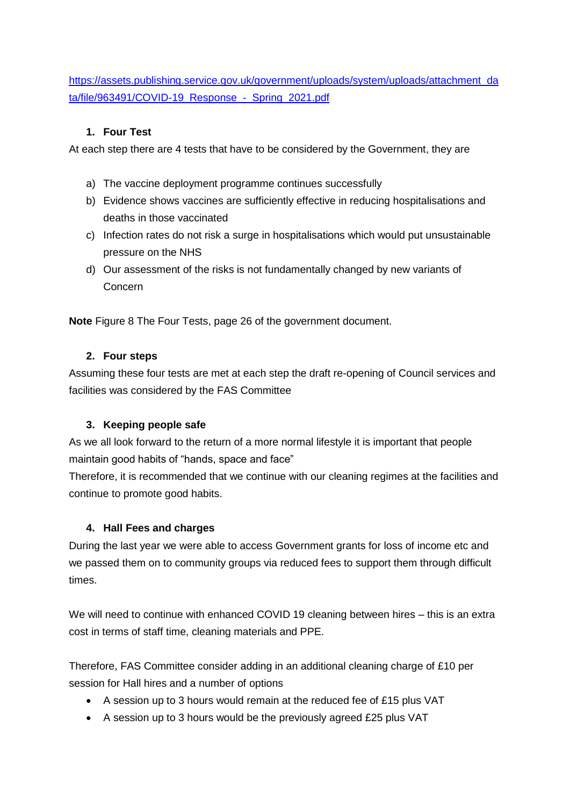[https://assets.publishing.service.gov.uk/government/uploads/system/uploads/attachment\\_da](https://assets.publishing.service.gov.uk/government/uploads/system/uploads/attachment_data/file/963491/COVID-19_Response_-_Spring_2021.pdf) [ta/file/963491/COVID-19\\_Response\\_-\\_Spring\\_2021.pdf](https://assets.publishing.service.gov.uk/government/uploads/system/uploads/attachment_data/file/963491/COVID-19_Response_-_Spring_2021.pdf)

## **1. Four Test**

At each step there are 4 tests that have to be considered by the Government, they are

- a) The vaccine deployment programme continues successfully
- b) Evidence shows vaccines are sufficiently effective in reducing hospitalisations and deaths in those vaccinated
- c) Infection rates do not risk a surge in hospitalisations which would put unsustainable pressure on the NHS
- d) Our assessment of the risks is not fundamentally changed by new variants of Concern

**Note** Figure 8 The Four Tests, page 26 of the government document.

## **2. Four steps**

Assuming these four tests are met at each step the draft re-opening of Council services and facilities was considered by the FAS Committee

# **3. Keeping people safe**

As we all look forward to the return of a more normal lifestyle it is important that people maintain good habits of "hands, space and face"

Therefore, it is recommended that we continue with our cleaning regimes at the facilities and continue to promote good habits.

# **4. Hall Fees and charges**

During the last year we were able to access Government grants for loss of income etc and we passed them on to community groups via reduced fees to support them through difficult times.

We will need to continue with enhanced COVID 19 cleaning between hires – this is an extra cost in terms of staff time, cleaning materials and PPE.

Therefore, FAS Committee consider adding in an additional cleaning charge of £10 per session for Hall hires and a number of options

- A session up to 3 hours would remain at the reduced fee of £15 plus VAT
- A session up to 3 hours would be the previously agreed £25 plus VAT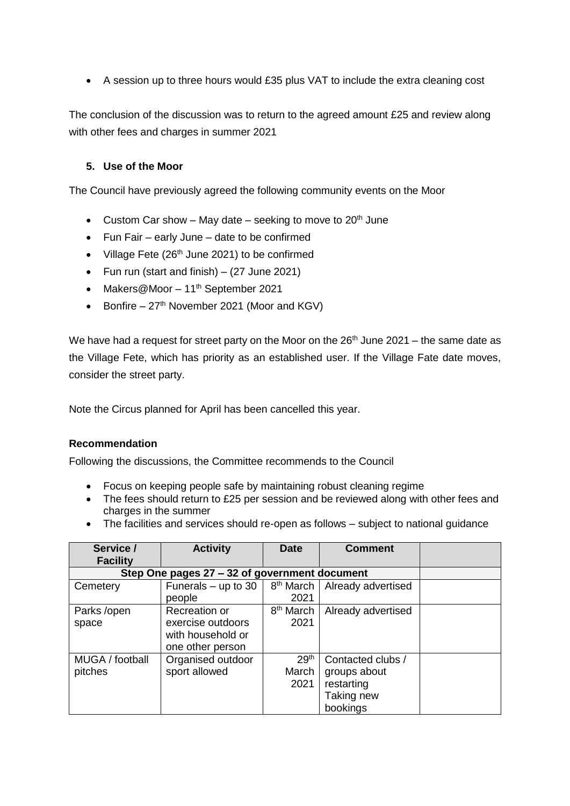A session up to three hours would £35 plus VAT to include the extra cleaning cost

The conclusion of the discussion was to return to the agreed amount £25 and review along with other fees and charges in summer 2021

#### **5. Use of the Moor**

The Council have previously agreed the following community events on the Moor

- Custom Car show May date seeking to move to  $20<sup>th</sup>$  June
- Fun Fair early June date to be confirmed
- Village Fete ( $26<sup>th</sup>$  June 2021) to be confirmed
- Fun run (start and finish)  $-$  (27 June 2021)
- Makers@Moor 11<sup>th</sup> September 2021
- Bonfire  $27<sup>th</sup>$  November 2021 (Moor and KGV)

We have had a request for street party on the Moor on the  $26<sup>th</sup>$  June 2021 – the same date as the Village Fete, which has priority as an established user. If the Village Fate date moves, consider the street party.

Note the Circus planned for April has been cancelled this year.

#### **Recommendation**

Following the discussions, the Committee recommends to the Council

- Focus on keeping people safe by maintaining robust cleaning regime
- The fees should return to £25 per session and be reviewed along with other fees and charges in the summer
- The facilities and services should re-open as follows subject to national guidance

| Service /                                     | <b>Activity</b>       | <b>Date</b>           | <b>Comment</b>     |  |
|-----------------------------------------------|-----------------------|-----------------------|--------------------|--|
| <b>Facility</b>                               |                       |                       |                    |  |
| Step One pages 27 - 32 of government document |                       |                       |                    |  |
| Cemetery                                      | Funerals $-$ up to 30 | 8 <sup>th</sup> March | Already advertised |  |
|                                               | people                | 2021                  |                    |  |
| Parks /open                                   | Recreation or         | 8 <sup>th</sup> March | Already advertised |  |
| space                                         | exercise outdoors     | 2021                  |                    |  |
|                                               | with household or     |                       |                    |  |
|                                               | one other person      |                       |                    |  |
| MUGA / football                               | Organised outdoor     | 29 <sup>th</sup>      | Contacted clubs /  |  |
| pitches                                       | sport allowed         | March                 | groups about       |  |
|                                               |                       | 2021                  | restarting         |  |
|                                               |                       |                       | Taking new         |  |
|                                               |                       |                       | bookings           |  |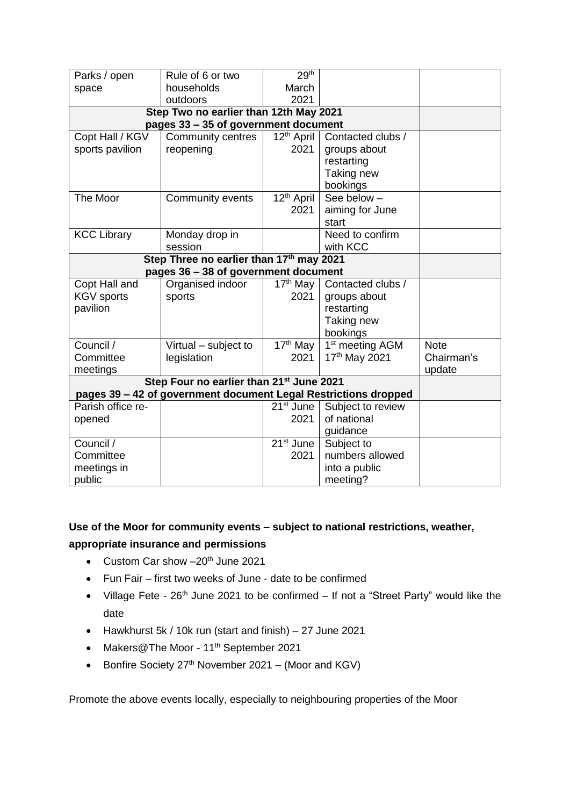| Parks / open                                                    | Rule of 6 or two         | 29 <sup>th</sup>                  |                             |             |
|-----------------------------------------------------------------|--------------------------|-----------------------------------|-----------------------------|-------------|
| space                                                           | households               | March                             |                             |             |
|                                                                 | outdoors                 | 2021                              |                             |             |
| Step Two no earlier than 12th May 2021                          |                          |                                   |                             |             |
| pages 33 - 35 of government document                            |                          |                                   |                             |             |
| Copt Hall / KGV                                                 | <b>Community centres</b> | 12 <sup>th</sup> April            | Contacted clubs /           |             |
| sports pavilion                                                 | reopening                | 2021                              | groups about                |             |
|                                                                 |                          |                                   | restarting                  |             |
|                                                                 |                          |                                   | Taking new                  |             |
|                                                                 |                          |                                   | bookings                    |             |
| The Moor                                                        | Community events         | $\overline{1}2^{\text{th}}$ April | See below-                  |             |
|                                                                 |                          | 2021                              | aiming for June             |             |
|                                                                 |                          |                                   | start                       |             |
| <b>KCC Library</b>                                              | Monday drop in           |                                   | Need to confirm             |             |
|                                                                 | session                  |                                   | with KCC                    |             |
| Step Three no earlier than 17th may 2021                        |                          |                                   |                             |             |
| pages 36 - 38 of government document                            |                          |                                   |                             |             |
| Copt Hall and                                                   | Organised indoor         | $17th$ May                        | Contacted clubs /           |             |
| <b>KGV</b> sports                                               | sports                   | 2021                              | groups about                |             |
| pavilion                                                        |                          |                                   | restarting                  |             |
|                                                                 |                          |                                   | Taking new                  |             |
|                                                                 |                          |                                   | bookings                    |             |
| Council /                                                       | Virtual - subject to     | $17th$ May                        | 1 <sup>st</sup> meeting AGM | <b>Note</b> |
| Committee                                                       | legislation              | 2021                              | 17th May 2021               | Chairman's  |
| meetings                                                        |                          |                                   |                             | update      |
| Step Four no earlier than 21 <sup>st</sup> June 2021            |                          |                                   |                             |             |
| pages 39 - 42 of government document Legal Restrictions dropped |                          |                                   |                             |             |
| Parish office re-                                               |                          | $21st$ June                       | Subject to review           |             |
| opened                                                          |                          | 2021                              | of national                 |             |
|                                                                 |                          |                                   | guidance                    |             |
| Council /                                                       |                          | 21 <sup>st</sup> June             | Subject to                  |             |
| Committee                                                       |                          | 2021                              | numbers allowed             |             |
| meetings in                                                     |                          |                                   | into a public               |             |
| public                                                          |                          |                                   | meeting?                    |             |

# **Use of the Moor for community events – subject to national restrictions, weather, appropriate insurance and permissions**

- Custom Car show  $-20^{th}$  June 2021
- Fun Fair first two weeks of June date to be confirmed
- Village Fete 26<sup>th</sup> June 2021 to be confirmed If not a "Street Party" would like the date
- Hawkhurst 5k / 10k run (start and finish) 27 June 2021
- Makers@The Moor 11<sup>th</sup> September 2021
- Bonfire Society  $27<sup>th</sup>$  November 2021 (Moor and KGV)

Promote the above events locally, especially to neighbouring properties of the Moor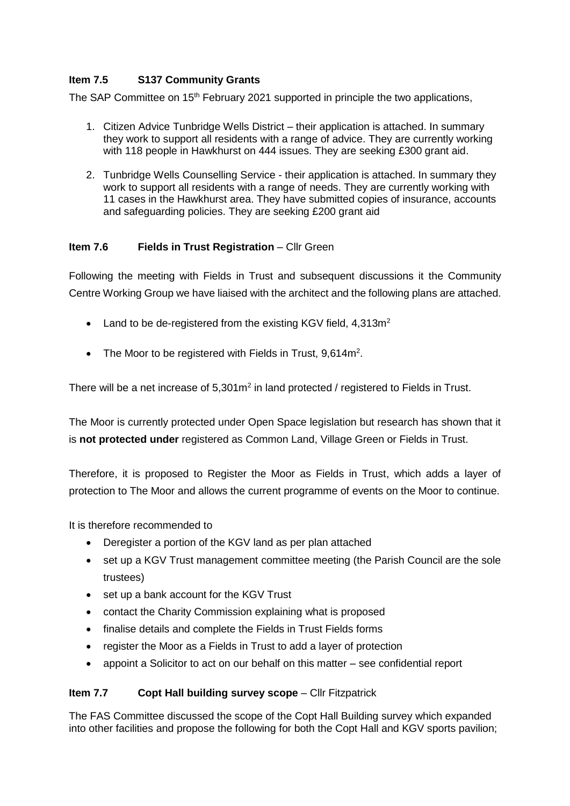#### **Item 7.5 S137 Community Grants**

The SAP Committee on 15<sup>th</sup> February 2021 supported in principle the two applications,

- 1. Citizen Advice Tunbridge Wells District their application is attached. In summary they work to support all residents with a range of advice. They are currently working with 118 people in Hawkhurst on 444 issues. They are seeking £300 grant aid.
- 2. Tunbridge Wells Counselling Service their application is attached. In summary they work to support all residents with a range of needs. They are currently working with 11 cases in the Hawkhurst area. They have submitted copies of insurance, accounts and safeguarding policies. They are seeking £200 grant aid

#### **Item 7.6 Fields in Trust Registration** – Cllr Green

Following the meeting with Fields in Trust and subsequent discussions it the Community Centre Working Group we have liaised with the architect and the following plans are attached.

- Land to be de-registered from the existing KGV field,  $4.313m<sup>2</sup>$
- The Moor to be registered with Fields in Trust, 9,614m<sup>2</sup>.

There will be a net increase of 5,301m<sup>2</sup> in land protected / registered to Fields in Trust.

The Moor is currently protected under Open Space legislation but research has shown that it is **not protected under** registered as Common Land, Village Green or Fields in Trust.

Therefore, it is proposed to Register the Moor as Fields in Trust, which adds a layer of protection to The Moor and allows the current programme of events on the Moor to continue.

It is therefore recommended to

- Deregister a portion of the KGV land as per plan attached
- set up a KGV Trust management committee meeting (the Parish Council are the sole trustees)
- set up a bank account for the KGV Trust
- contact the Charity Commission explaining what is proposed
- finalise details and complete the Fields in Trust Fields forms
- register the Moor as a Fields in Trust to add a layer of protection
- appoint a Solicitor to act on our behalf on this matter see confidential report

#### **Item 7.7 Copt Hall building survey scope** – Cllr Fitzpatrick

The FAS Committee discussed the scope of the Copt Hall Building survey which expanded into other facilities and propose the following for both the Copt Hall and KGV sports pavilion;